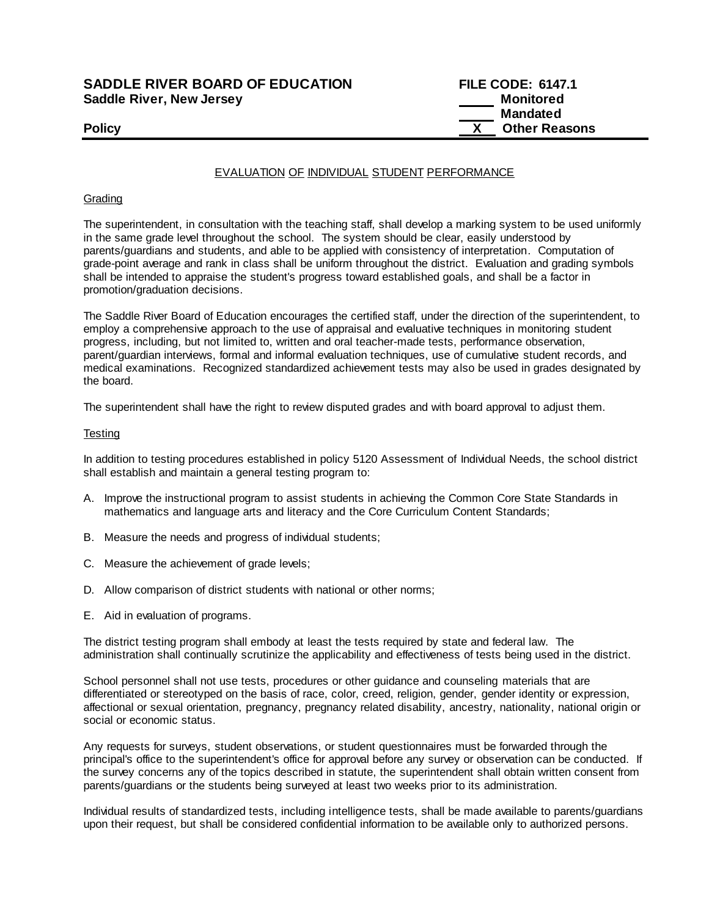# **SADDLE RIVER BOARD OF EDUCATION FILE CODE: 6147.1 Saddle River, New Jersey Monitored Example 2018 19 No. 2018 19:30 Monitored**

# **Mandated Policy COLLEGENS Policy COLLEGENS COLLEGENS COLLEGENS X Other Reasons**

## EVALUATION OF INDIVIDUAL STUDENT PERFORMANCE

### Grading

The superintendent, in consultation with the teaching staff, shall develop a marking system to be used uniformly in the same grade level throughout the school. The system should be clear, easily understood by parents/guardians and students, and able to be applied with consistency of interpretation. Computation of grade-point average and rank in class shall be uniform throughout the district. Evaluation and grading symbols shall be intended to appraise the student's progress toward established goals, and shall be a factor in promotion/graduation decisions.

The Saddle River Board of Education encourages the certified staff, under the direction of the superintendent, to employ a comprehensive approach to the use of appraisal and evaluative techniques in monitoring student progress, including, but not limited to, written and oral teacher-made tests, performance observation, parent/guardian interviews, formal and informal evaluation techniques, use of cumulative student records, and medical examinations. Recognized standardized achievement tests may also be used in grades designated by the board.

The superintendent shall have the right to review disputed grades and with board approval to adjust them.

#### **Testing**

In addition to testing procedures established in policy 5120 Assessment of Individual Needs, the school district shall establish and maintain a general testing program to:

- A. Improve the instructional program to assist students in achieving the Common Core State Standards in mathematics and language arts and literacy and the Core Curriculum Content Standards;
- B. Measure the needs and progress of individual students;
- C. Measure the achievement of grade levels;
- D. Allow comparison of district students with national or other norms;
- E. Aid in evaluation of programs.

The district testing program shall embody at least the tests required by state and federal law. The administration shall continually scrutinize the applicability and effectiveness of tests being used in the district.

School personnel shall not use tests, procedures or other guidance and counseling materials that are differentiated or stereotyped on the basis of race, color, creed, religion, gender, gender identity or expression, affectional or sexual orientation, pregnancy, pregnancy related disability, ancestry, nationality, national origin or social or economic status.

Any requests for surveys, student observations, or student questionnaires must be forwarded through the principal's office to the superintendent's office for approval before any survey or observation can be conducted. If the survey concerns any of the topics described in statute, the superintendent shall obtain written consent from parents/guardians or the students being surveyed at least two weeks prior to its administration.

Individual results of standardized tests, including intelligence tests, shall be made available to parents/guardians upon their request, but shall be considered confidential information to be available only to authorized persons.